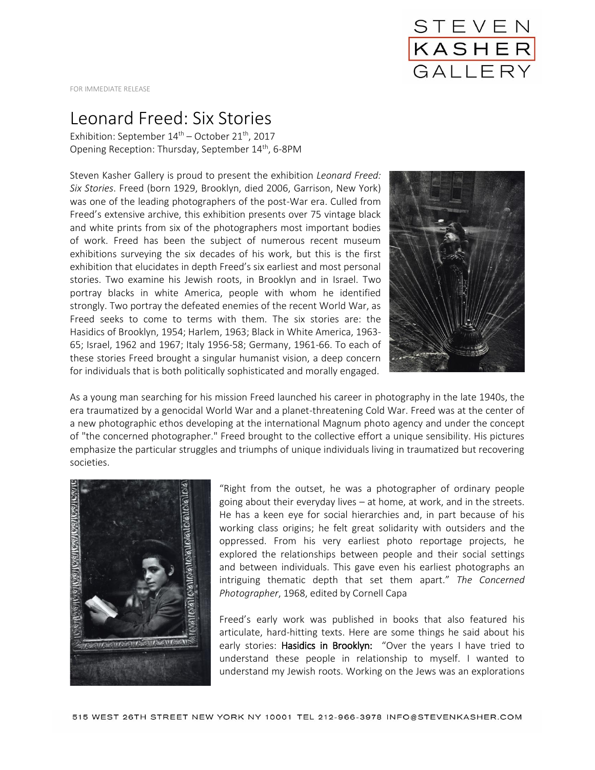

FOR IMMEDIATE RELEASE

## Leonard Freed: Six Stories

Exhibition: September  $14<sup>th</sup>$  – October 21<sup>th</sup>, 2017 Opening Reception: Thursday, September 14<sup>th</sup>, 6-8PM

Steven Kasher Gallery is proud to present the exhibition *Leonard Freed: Six Stories*. Freed (born 1929, Brooklyn, died 2006, Garrison, New York) was one of the leading photographers of the post-War era. Culled from Freed's extensive archive, this exhibition presents over 75 vintage black and white prints from six of the photographers most important bodies of work. Freed has been the subject of numerous recent museum exhibitions surveying the six decades of his work, but this is the first exhibition that elucidates in depth Freed's six earliest and most personal stories. Two examine his Jewish roots, in Brooklyn and in Israel. Two portray blacks in white America, people with whom he identified strongly. Two portray the defeated enemies of the recent World War, as Freed seeks to come to terms with them. The six stories are: the Hasidics of Brooklyn, 1954; Harlem, 1963; Black in White America, 1963- 65; Israel, 1962 and 1967; Italy 1956-58; Germany, 1961-66. To each of these stories Freed brought a singular humanist vision, a deep concern for individuals that is both politically sophisticated and morally engaged.



As a young man searching for his mission Freed launched his career in photography in the late 1940s, the era traumatized by a genocidal World War and a planet-threatening Cold War. Freed was at the center of a new photographic ethos developing at the international Magnum photo agency and under the concept of "the concerned photographer." Freed brought to the collective effort a unique sensibility. His pictures emphasize the particular struggles and triumphs of unique individuals living in traumatized but recovering societies.



"Right from the outset, he was a photographer of ordinary people going about their everyday lives – at home, at work, and in the streets. He has a keen eye for social hierarchies and, in part because of his working class origins; he felt great solidarity with outsiders and the oppressed. From his very earliest photo reportage projects, he explored the relationships between people and their social settings and between individuals. This gave even his earliest photographs an intriguing thematic depth that set them apart." *The Concerned Photographer*, 1968, edited by Cornell Capa

Freed's early work was published in books that also featured his articulate, hard-hitting texts. Here are some things he said about his early stories: Hasidics in Brooklyn: "Over the years I have tried to understand these people in relationship to myself. I wanted to understand my Jewish roots. Working on the Jews was an explorations